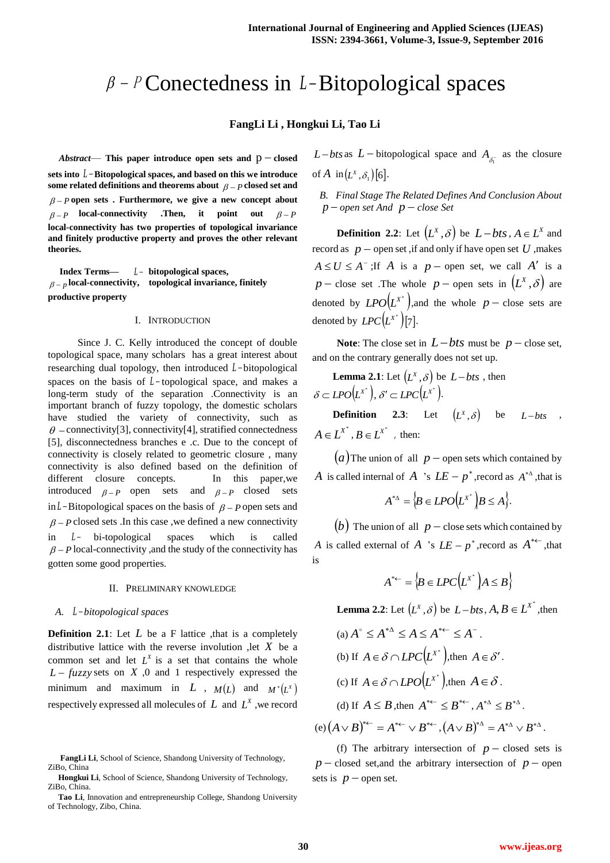# $\beta$  -  $\beta$  Conectedness in *L*-Bitopological spaces

### **FangLi Li , Hongkui Li, Tao Li**

 $Abstract$  This paper introduce open sets and  $p$  – closed **sets into** *L* **Bitopological spaces, and based on this we introduce**  some related definitions and theorems about  $\beta - P$  closed set and  $\beta$  –  $p$  open sets. Furthermore, we give a new concept about  $\beta - P$  **local-connectivity .Then, it point** out  $\beta - P$ **local-connectivity has two properties of topological invariance and finitely productive property and proves the other relevant theories.**

 **Index Terms—** *L*  **bitopological spaces,**   $p_{p}$  local-connectivity, topological invariance, finitely **productive property**

#### I. INTRODUCTION

 Since J. C. Kelly introduced the concept of double topological space, many scholars has a great interest about researching dual topology, then introduced L-bitopological spaces on the basis of  $L$ -topological space, and makes a long-term study of the separation .Connectivity is an important branch of fuzzy topology, the domestic scholars have studied the variety of connectivity, such as  $\theta$  – connectivity[3], connectivity[4], stratified connectedness [5], disconnectedness branches e .c. Due to the concept of connectivity is closely related to geometric closure , many connectivity is also defined based on the definition of different closure concepts. In this paper, we introduced  $\beta - P$  open sets and  $\beta - P$  closed sets in  $L$ -Bitopological spaces on the basis of  $\beta$  – P open sets and  $\beta$  – *P* closed sets .In this case, we defined a new connectivity in *<sup>L</sup>* bi-topological spaces which is called  $\beta$  – *P* local-connectivity, and the study of the connectivity has gotten some good properties.

#### II. PRELIMINARY KNOWLEDGE

#### *A. L bitopological spaces*

**Definition 2.1**: Let L be a F lattice , that is a completely distributive lattice with the reverse involution ,let *X* be a common set and let  $L^X$  is a set that contains the whole  $L - fuzzy sets$  on  $X$ ,0 and 1 respectively expressed the minimum and maximum in L ,  $M(L)$  and  $M^*(L^X)$ respectively expressed all molecules of  $L$  and  $L^X$ , we record

*L* – *bts* as *L* – bitopological space and  $A_{\delta_i^-}$  as the closure of  $A$  in  $(L^X, \delta_1)$  [6].

*B. Final Stage The Related Defines And Conclusion About p open set And p close Set*

**Definition 2.2**: Let  $(L^X, \delta)$  be  $L - bts$ ,  $A \in L^X$  and record as  $p$  – open set, if and only if have open set U , makes  $A \le U \le A^-$ ; If A is a  $p$  – open set, we call A' is a  $p$  – close set .The whole  $p$  – open sets in  $(L^X, \delta)$  are denoted by  $LPO(L^{X^*})$ , and the whole  $p$  – close sets are denoted by  $LPC(L^{X^*})$  [7].

**Note:** The close set in  $L - bts$  must be  $p -$  close set, and on the contrary generally does not set up.

**Lemma 2.1**: Let  $(L^X, \delta)$  be  $L - bts$ , then  $\delta \subset LPO(L^{X^*}), \delta' \subset LPC(L^{X^*}).$ **Definition** 2.3: Let  $(L^X, \delta)$  be  $L - b$ ts ,

 $A \in L^{X^*}$ ,  $B \in L^{X^*}$ , then:

 $(a)$  The union of all  $p$  – open sets which contained by *A* is called internal of *A* 's  $LE - p^*$ , record as  $A^{*^A}$ , that is

$$
A^{*_{\Delta}} = \Big\{ B \in LPO(L^{X^*}) \Big| B \leq A \Big\}.
$$

(b) The union of all  $p$  – close sets which contained by *A* is called external of *A* 's  $LE - p^*$ , record as  $A^{* \leftarrow}$ , that is

$$
A^{*\leftarrow} = \left\{ B \in LPC(L^{X^*}) \mid A \leq B \right\}
$$

**Lemma 2.2**: Let  $(L^x, \delta)$  be  $L - bts$ ,  $A, B \in L^{X^*}$ , then

(a) 
$$
A^{\circ} \leq A^{*\Delta} \leq A \leq A^{*\leftarrow} \leq A^{-}
$$
.  
\n(b) If  $A \in \delta \cap LPC(L^{X^*})$ , then  $A \in \delta'$ .  
\n(c) If  $A \in \delta \cap LPO(L^{X^*})$ , then  $A \in \delta$ .  
\n(d) If  $A \leq B$ , then  $A^{*\leftarrow} \leq B^{*\leftarrow}$ ,  $A^{*\Delta} \leq B^{*\Delta}$ .  
\n(e)  $(A \vee B)^{*\leftarrow} = A^{*\leftarrow} \vee B^{*\leftarrow}$ ,  $(A \vee B)^{*\Delta} = A^{*\Delta} \vee B^{*\Delta}$ .

(f) The arbitrary intersection of  $p$  – closed sets is  $p$  – closed set, and the arbitrary intersection of  $p$  – open sets is  $p$  – open set.

**FangLi Li**, School of Science, Shandong University of Technology, ZiBo, China

**Hongkui Li**, School of Science, Shandong University of Technology, ZiBo, China.

**Tao Li**, Innovation and entrepreneurship College, Shandong University of Technology, Zibo, China.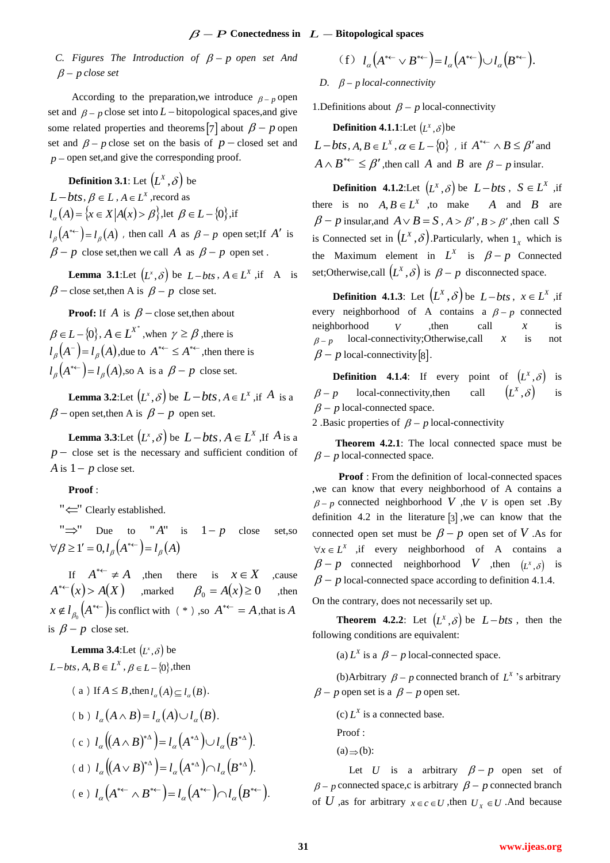# $\beta - P$  Conectedness in  $L - B$ itopological spaces

*C.* Figures The Introduction of  $\beta - p$  open set And *p close set*

According to the preparation, we introduce  $p - p$  open set and  $\beta - p$  close set into  $L$  – bitopological spaces, and give some related properties and theorems [7] about  $\beta - p$  open set and  $\beta - p$  close set on the basis of  $p$  – closed set and  $p$  – open set, and give the corresponding proof.

**Definition 3.1**: Let  $(L^X, \delta)$  be  $L - b$ *ts*,  $\beta \in L$ ,  $A \in L^X$ , record as  $l_{\alpha}(A) = \{x \in X | A(x) > \beta\}$ , let  $\beta \in L - \{0\}$ , if  $l_{\beta}(A^{*\leftarrow}) = l_{\beta}(A)$  , then call A as  $\beta - p$  open set;If A' is  $\beta - p$  close set, then we call A as  $\beta - p$  open set.

**Lemma 3.1**:Let  $(L^x, \delta)$  be  $L - bts$ ,  $A \in L^x$ , if A is  $\beta$  – close set, then A is  $\beta - p$  close set.

**Proof:** If  $A$  is  $\beta$  – close set, then about

 $\beta \in L - \{0\}, A \in L^{X^*}$ , when  $\gamma \ge \beta$ , there is  $l_{\beta}$ ( $A^-$ ) =  $l_{\beta}$ ( $A$ ), due to  $A^{* \leftarrow} \leq A^{* \leftarrow}$ , then there is  $l_{\beta}(A^{*\leftarrow}) = l_{\beta}(A)$ , so A is a  $\beta - p$  close set.

**Lemma 3.2**:Let  $(L^x, \delta)$  be  $L - bts$ ,  $A \in L^x$ , if  $A$  is a  $\beta$  – open set, then A is  $\beta - p$  open set.

**Lemma 3.3**:Let  $(L^x, \delta)$  be  $L - bts$ ,  $A \in L^X$ , If  $A$  is a  $p -$  close set is the necessary and sufficient condition of *A* is  $1 - p$  close set.

## **Proof** :

"  $\leftarrow$ " Clearly established.

" $\Rightarrow$ " Due to "A" is  $1-p$  close set,so  $\forall \beta \geq 1' = 0, l_{\beta}(A^{*}) = l_{\beta}(A)$ 

If  $A^{* \leftarrow} \neq A$  , then there is  $x \in X$ ,cause  $A^{* \leftarrow}(x) > A(X)$  ,marked  $\beta_0 = A(x) \ge 0$ ,then  $x \notin l_{\beta_0}(A^{*}\leftarrow)$  is conflict with (\*),so  $A^{*}\leftarrow A$ , that is A is  $\beta - p$  close set.

**Lemma** 3.4:Let  $(L^x, \delta)$  be  $L - b$ *ts*,  $A, B \in L^X$ ,  $\beta \in L - \{0\}$ , then

*Figures The Introduction of β* − *p open set And* (f)  
\n*p* close set  
\n*p* decreases  
\n*Q* = *p* (f)  
\nAccording to the preparation, we introduce *β* − *p* open  
\n
$$
β
$$
 − *p* close set into *L* - biopological spaces, and give  
\n $β$  − *p* close set on the basis of *p* − closed set and *L* − *bts*, *A*,  
\n*pen set*, and give the corresponding proof.  
\n**Definition 3.1:** Let  $(L^x, δ)$  be  
\n**Definition 3.2:** Let  $(L^x, δ)$  be  
\n $λ ∈ L^x = X | A(x) > β$ , let  $β ∈ L - {0}$ , if  
\n $β$  − *p* is  
\n $β$  − *p* is  
\n $β$  − *p* is  
\n $β$  − *p* is  
\n $β$  − *p* is  
\n $β$  − *p* is  
\n $β$  − *p* is  
\n $β$  − *p* is  
\n $β$  − *p* is  
\n $β$  − *p* is  
\n $β$  − *p* is  
\n $β$  − *p* is  
\n $β$  − *p* is  
\n $β$  − *p* is  
\n $β$  − *p* is  
\n $β$  − *p* is  
\n $β$  − *p* is  
\n $β$  − *p* is  
\n $β$  − *p* is  
\n $β$  − *p* is  
\n $β$  − *p* is  
\n $β$  − *p* is  
\n $β$  − *p* is  
\n $β$  − *p* is  
\n $β$  − *p* is  
\n $β$  − *p* is  
\n $β$  − *p*

$$
(f) \quad l_{\alpha}\left(A^{* \leftarrow} \vee B^{* \leftarrow}\right) = l_{\alpha}\left(A^{* \leftarrow}\right) \cup l_{\alpha}\left(B^{* \leftarrow}\right).
$$

*D.*  $\beta$  – p local-connectivity

1. Definitions about  $\beta - p$  local-connectivity

**Definition 4.1.1**:Let  $(L^x, \delta)$ be

 $L - bts$ ,  $A, B \in L^X$ ,  $\alpha \in L - \{0\}$ , if  $A^{* \leftarrow} \wedge B \leq \beta'$  and  $A \wedge B^{* \leftarrow} \leq \beta'$ , then call A and B are  $\beta - p$  insular.

**Definition** 4.1.2:Let  $(L^X, \delta)$  be  $L - bts$ ,  $S \in L^X$  , if there is no  $A, B \in L^X$ , to make A and B are  $\beta - p$  insular, and  $A \vee B = S$ ,  $A > \beta'$ ,  $B > \beta'$ , then call S is Connected set in  $(L^X, \delta)$ . Particularly, when  $1_X$  which is the Maximum element in  $L^X$  is  $\beta - p$  Connected set; Otherwise, call  $(L^X, \delta)$  is  $\beta - p$  disconnected space.

**Definition 4.1.3**: Let  $(L^X, \delta)$  be  $L - bts$ ,  $x \in L^X$  , if every neighborhood of A contains a  $\beta - p$  connected neighborhood *V* ,then call *x* is  $p - p$  local-connectivity; Otherwise, call *x* is not  $\beta - p$  local-connectivity [8].

**Definition 4.1.4**: If every  $(L^X, \delta)$  is  $\beta - p$ local-connectivity, then call  $(L^X, \delta)$ is  $\beta$  – p local-connected space.

2 .Basic properties of  $\beta - p$  local-connectivity

 **Theorem 4.2.1**: The local connected space must be  $\beta$  – p local-connected space.

**Proof** : From the definition of local-connected spaces ,we can know that every neighborhood of A contains a  $\beta - p$  connected neighborhood *V*, the *V* is open set .By definition 4.2 in the literature  $\begin{bmatrix} 3 \end{bmatrix}$ , we can know that the connected open set must be  $\beta - p$  open set of V. As for  $\forall x \in L^X$  , if every neighborhood of A contains a  $\beta - p$  connected neighborhood *V* ,then  $(L^x, \delta)$  is  $\beta$  – p local-connected space according to definition 4.1.4.

On the contrary, does not necessarily set up.

**Theorem 4.2.2**: Let  $(L^X, \delta)$  be  $L - bts$ , then the following conditions are equivalent:

(a)  $L^X$  is a  $\beta - p$  local-connected space.

(b)Arbitrary  $\beta - p$  connected branch of  $L^X$  's arbitrary  $\beta$  – p open set is a  $\beta$  – p open set.

(c)  $L^X$  is a connected base.

Proof :

 $(a) \Rightarrow (b)$ :

Let U is a arbitrary  $\beta - p$  open set of  $\beta$  – *p* connected space,c is arbitrary  $\beta$  – *p* connected branch of U ,as for arbitrary  $x \in c \in U$ , then  $U_x \in U$ . And because